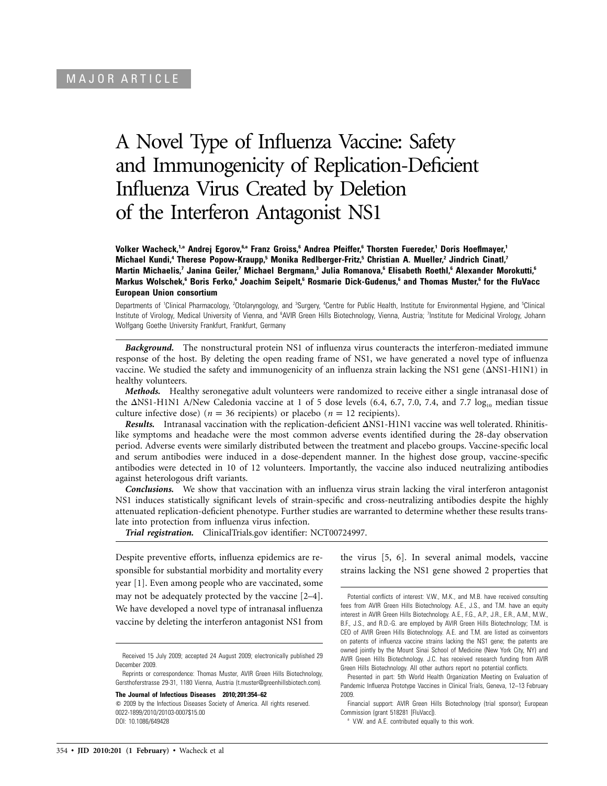# A Novel Type of Influenza Vaccine: Safety and Immunogenicity of Replication-Deficient Influenza Virus Created by Deletion of the Interferon Antagonist NS1

**Volker Wacheck,1,a Andrej Egorov,6,a Franz Groiss,6 Andrea Pfeiffer,6 Thorsten Fuereder,1 Doris Hoeflmayer,1 Michael Kundi,4 Therese Popow-Kraupp,5 Monika Redlberger-Fritz,5 Christian A. Mueller,2 Jindrich Cinatl,7 Martin Michaelis,7 Janina Geiler,7 Michael Bergmann,3 Julia Romanova,6 Elisabeth Roethl,6 Alexander Morokutti,6 Markus Wolschek,6 Boris Ferko,6 Joachim Seipelt,6 Rosmarie Dick-Gudenus,6 and Thomas Muster,6 for the FluVacc European Union consortium**

Departments of 'Clinical Pharmacology, <sup>2</sup>Otolaryngology, and <sup>3</sup>Surgery, <sup>4</sup>Centre for Public Health, Institute for Environmental Hygiene, and <sup>5</sup>Clinical Institute of Virology, Medical University of Vienna, and <sup>6</sup>AVIR Green Hills Biotechnology, Vienna, Austria; <sup>7</sup>Institute for Medicinal Virology, Johann Wolfgang Goethe University Frankfurt, Frankfurt, Germany

*Background.* The nonstructural protein NS1 of influenza virus counteracts the interferon-mediated immune response of the host. By deleting the open reading frame of NS1, we have generated a novel type of influenza vaccine. We studied the safety and immunogenicity of an influenza strain lacking the NS1 gene  $(\Delta NS1-H1N1)$  in healthy volunteers.

*Methods.* Healthy seronegative adult volunteers were randomized to receive either a single intranasal dose of the  $\Delta$ NS1-H1N1 A/New Caledonia vaccine at 1 of 5 dose levels (6.4, 6.7, 7.0, 7.4, and 7.7 log<sub>10</sub> median tissue culture infective dose) ( $n = 36$  recipients) or placebo ( $n = 12$  recipients).

*Results.* Intranasal vaccination with the replication-deficient  $\Delta$ NS1-H1N1 vaccine was well tolerated. Rhinitislike symptoms and headache were the most common adverse events identified during the 28-day observation period. Adverse events were similarly distributed between the treatment and placebo groups. Vaccine-specific local and serum antibodies were induced in a dose-dependent manner. In the highest dose group, vaccine-specific antibodies were detected in 10 of 12 volunteers. Importantly, the vaccine also induced neutralizing antibodies against heterologous drift variants.

*Conclusions.* We show that vaccination with an influenza virus strain lacking the viral interferon antagonist NS1 induces statistically significant levels of strain-specific and cross-neutralizing antibodies despite the highly attenuated replication-deficient phenotype. Further studies are warranted to determine whether these results translate into protection from influenza virus infection.

*Trial registration.* ClinicalTrials.gov identifier: NCT00724997.

Despite preventive efforts, influenza epidemics are responsible for substantial morbidity and mortality every year [1]. Even among people who are vaccinated, some may not be adequately protected by the vaccine [2–4]. We have developed a novel type of intranasal influenza vaccine by deleting the interferon antagonist NS1 from

**The Journal of Infectious Diseases 2010; 201:354–62**

 $\odot$  2009 by the Infectious Diseases Society of America. All rights reserved. 0022-1899/2010/20103-0007\$15.00 DOI: 10.1086/649428

the virus [5, 6]. In several animal models, vaccine strains lacking the NS1 gene showed 2 properties that

Presented in part: 5th World Health Organization Meeting on Evaluation of Pandemic Influenza Prototype Vaccines in Clinical Trials, Geneva, 12–13 February 2009.

Received 15 July 2009; accepted 24 August 2009; electronically published 29 December 2009

Reprints or correspondence: Thomas Muster, AVIR Green Hills Biotechnology, Gersthoferstrasse 29-31, 1180 Vienna, Austria (t.muster@greenhillsbiotech.com).

Potential conflicts of interest: V.W., M.K., and M.B. have received consulting fees from AVIR Green Hills Biotechnology. A.E., J.S., and T.M. have an equity interest in AVIR Green Hills Biotechnology. A.E., F.G., A.P., J.R., E.R., A.M., M.W., B.F., J.S., and R.D.-G. are employed by AVIR Green Hills Biotechnology; T.M. is CEO of AVIR Green Hills Biotechnology. A.E. and T.M. are listed as coinventors on patents of influenza vaccine strains lacking the NS1 gene; the patents are owned jointly by the Mount Sinai School of Medicine (New York City, NY) and AVIR Green Hills Biotechnology. J.C. has received research funding from AVIR Green Hills Biotechnology. All other authors report no potential conflicts.

Financial support: AVIR Green Hills Biotechnology (trial sponsor); European Commission (grant 518281 [FluVacc]).

<sup>&</sup>lt;sup>a</sup> V.W. and A.E. contributed equally to this work.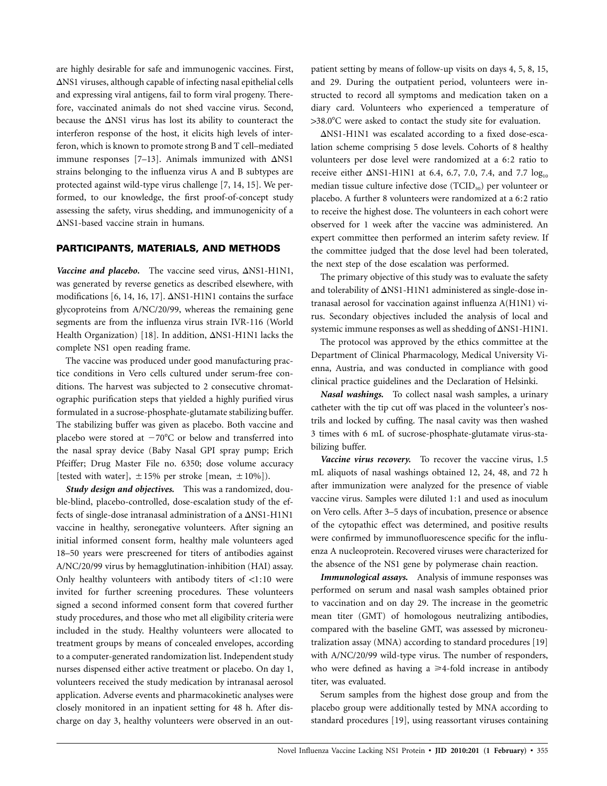are highly desirable for safe and immunogenic vaccines. First,  $\Delta$ NS1 viruses, although capable of infecting nasal epithelial cells and expressing viral antigens, fail to form viral progeny. Therefore, vaccinated animals do not shed vaccine virus. Second, because the  $\Delta$ NS1 virus has lost its ability to counteract the interferon response of the host, it elicits high levels of interferon, which is known to promote strong B and T cell–mediated immune responses  $[7-13]$ . Animals immunized with  $\Delta$ NS1 strains belonging to the influenza virus A and B subtypes are protected against wild-type virus challenge [7, 14, 15]. We performed, to our knowledge, the first proof-of-concept study assessing the safety, virus shedding, and immunogenicity of a  $\Delta$ NS1-based vaccine strain in humans.

## **PARTICIPANTS, MATERIALS, AND METHODS**

Vaccine and placebo. The vaccine seed virus,  $\Delta$ NS1-H1N1, was generated by reverse genetics as described elsewhere, with modifications [6, 14, 16, 17].  $\Delta$ NS1-H1N1 contains the surface glycoproteins from A/NC/20/99, whereas the remaining gene segments are from the influenza virus strain IVR-116 (World Health Organization) [18]. In addition,  $\Delta$ NS1-H1N1 lacks the complete NS1 open reading frame.

The vaccine was produced under good manufacturing practice conditions in Vero cells cultured under serum-free conditions. The harvest was subjected to 2 consecutive chromatographic purification steps that yielded a highly purified virus formulated in a sucrose-phosphate-glutamate stabilizing buffer. The stabilizing buffer was given as placebo. Both vaccine and placebo were stored at  $-70^{\circ}$ C or below and transferred into the nasal spray device (Baby Nasal GPI spray pump; Erich Pfeiffer; Drug Master File no. 6350; dose volume accuracy [tested with water],  $\pm 15\%$  per stroke [mean,  $\pm 10\%$ ]).

*Study design and objectives.* This was a randomized, double-blind, placebo-controlled, dose-escalation study of the effects of single-dose intranasal administration of a  $\Delta$ NS1-H1N1 vaccine in healthy, seronegative volunteers. After signing an initial informed consent form, healthy male volunteers aged 18–50 years were prescreened for titers of antibodies against A/NC/20/99 virus by hemagglutination-inhibition (HAI) assay. Only healthy volunteers with antibody titers of  $\lt 1:10$  were invited for further screening procedures. These volunteers signed a second informed consent form that covered further study procedures, and those who met all eligibility criteria were included in the study. Healthy volunteers were allocated to treatment groups by means of concealed envelopes, according to a computer-generated randomization list. Independent study nurses dispensed either active treatment or placebo. On day 1, volunteers received the study medication by intranasal aerosol application. Adverse events and pharmacokinetic analyses were closely monitored in an inpatient setting for 48 h. After discharge on day 3, healthy volunteers were observed in an out-

patient setting by means of follow-up visits on days 4, 5, 8, 15, and 29. During the outpatient period, volunteers were instructed to record all symptoms and medication taken on a diary card. Volunteers who experienced a temperature of >38.0°C were asked to contact the study site for evaluation.

 $\Delta$ NS1-H1N1 was escalated according to a fixed dose-escalation scheme comprising 5 dose levels. Cohorts of 8 healthy volunteers per dose level were randomized at a 6:2 ratio to receive either  $\Delta$ NS1-H1N1 at 6.4, 6.7, 7.0, 7.4, and 7.7  $log_{10}$ median tissue culture infective dose (TCID<sub>50</sub>) per volunteer or placebo. A further 8 volunteers were randomized at a 6:2 ratio to receive the highest dose. The volunteers in each cohort were observed for 1 week after the vaccine was administered. An expert committee then performed an interim safety review. If the committee judged that the dose level had been tolerated, the next step of the dose escalation was performed.

The primary objective of this study was to evaluate the safety and tolerability of  $\Delta$ NS1-H1N1 administered as single-dose intranasal aerosol for vaccination against influenza A(H1N1) virus. Secondary objectives included the analysis of local and systemic immune responses as well as shedding of  $\Delta$ NS1-H1N1.

The protocol was approved by the ethics committee at the Department of Clinical Pharmacology, Medical University Vienna, Austria, and was conducted in compliance with good clinical practice guidelines and the Declaration of Helsinki.

*Nasal washings.* To collect nasal wash samples, a urinary catheter with the tip cut off was placed in the volunteer's nostrils and locked by cuffing. The nasal cavity was then washed 3 times with 6 mL of sucrose-phosphate-glutamate virus-stabilizing buffer.

*Vaccine virus recovery.* To recover the vaccine virus, 1.5 mL aliquots of nasal washings obtained 12, 24, 48, and 72 h after immunization were analyzed for the presence of viable vaccine virus. Samples were diluted 1:1 and used as inoculum on Vero cells. After 3–5 days of incubation, presence or absence of the cytopathic effect was determined, and positive results were confirmed by immunofluorescence specific for the influenza A nucleoprotein. Recovered viruses were characterized for the absence of the NS1 gene by polymerase chain reaction.

*Immunological assays.* Analysis of immune responses was performed on serum and nasal wash samples obtained prior to vaccination and on day 29. The increase in the geometric mean titer (GMT) of homologous neutralizing antibodies, compared with the baseline GMT, was assessed by microneutralization assay (MNA) according to standard procedures [19] with A/NC/20/99 wild-type virus. The number of responders, who were defined as having a  $\geq$ 4-fold increase in antibody titer, was evaluated.

Serum samples from the highest dose group and from the placebo group were additionally tested by MNA according to standard procedures [19], using reassortant viruses containing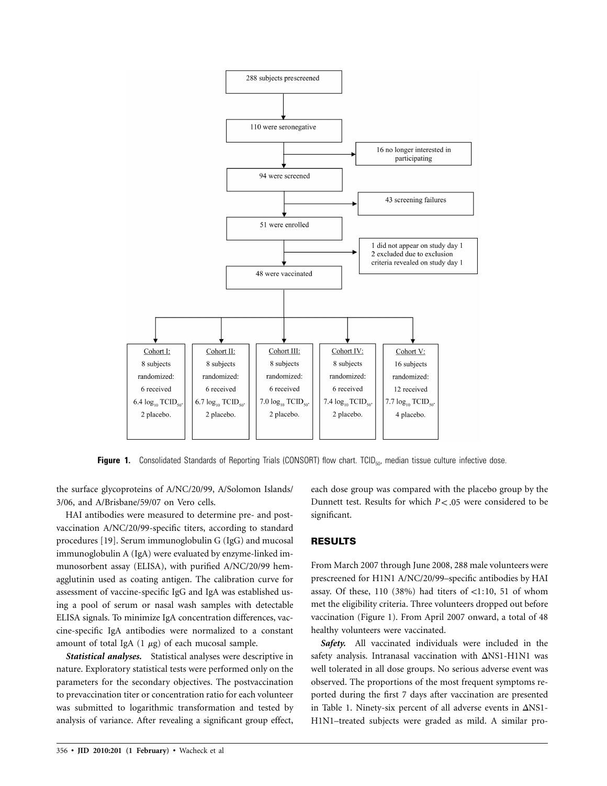

**Figure 1.** Consolidated Standards of Reporting Trials (CONSORT) flow chart. TCID<sub>50</sub>, median tissue culture infective dose.

the surface glycoproteins of A/NC/20/99, A/Solomon Islands/ 3/06, and A/Brisbane/59/07 on Vero cells.

HAI antibodies were measured to determine pre- and postvaccination A/NC/20/99-specific titers, according to standard procedures [19]. Serum immunoglobulin G (IgG) and mucosal immunoglobulin A (IgA) were evaluated by enzyme-linked immunosorbent assay (ELISA), with purified A/NC/20/99 hemagglutinin used as coating antigen. The calibration curve for assessment of vaccine-specific IgG and IgA was established using a pool of serum or nasal wash samples with detectable ELISA signals. To minimize IgA concentration differences, vaccine-specific IgA antibodies were normalized to a constant amount of total IgA  $(1 \mu g)$  of each mucosal sample.

*Statistical analyses.* Statistical analyses were descriptive in nature. Exploratory statistical tests were performed only on the parameters for the secondary objectives. The postvaccination to prevaccination titer or concentration ratio for each volunteer was submitted to logarithmic transformation and tested by analysis of variance. After revealing a significant group effect,

each dose group was compared with the placebo group by the Dunnett test. Results for which  $P < .05$  were considered to be significant.

## **RESULTS**

From March 2007 through June 2008, 288 male volunteers were prescreened for H1N1 A/NC/20/99–specific antibodies by HAI assay. Of these,  $110$  (38%) had titers of <1:10, 51 of whom met the eligibility criteria. Three volunteers dropped out before vaccination (Figure 1). From April 2007 onward, a total of 48 healthy volunteers were vaccinated.

*Safety.* All vaccinated individuals were included in the safety analysis. Intranasal vaccination with  $\Delta$ NS1-H1N1 was well tolerated in all dose groups. No serious adverse event was observed. The proportions of the most frequent symptoms reported during the first 7 days after vaccination are presented in Table 1. Ninety-six percent of all adverse events in  $\Delta$ NS1-H1N1–treated subjects were graded as mild. A similar pro-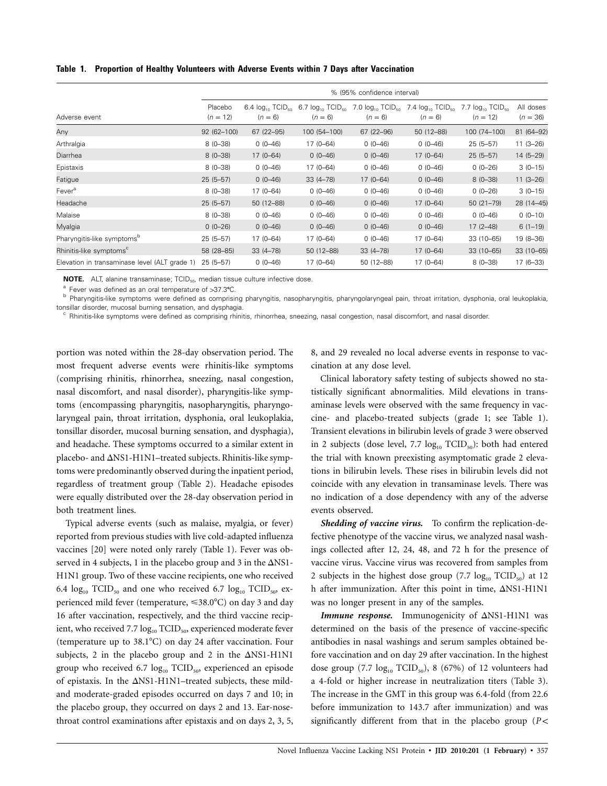**Table 1. Proportion of Healthy Volunteers with Adverse Events within 7 Days after Vaccination**

|                                               |                       |                                                |                                                | % (95% confidence interval) |                                                                                  |                                                    |                         |
|-----------------------------------------------|-----------------------|------------------------------------------------|------------------------------------------------|-----------------------------|----------------------------------------------------------------------------------|----------------------------------------------------|-------------------------|
| Adverse event                                 | Placebo<br>$(n = 12)$ | 6.4 $log_{10}$ TCID <sub>50</sub><br>$(n = 6)$ | 6.7 $log_{10}$ TCID <sub>50</sub><br>$(n = 6)$ | $(n = 6)$                   | 7.0 $log_{10}$ TCID <sub>50</sub> 7.4 $log_{10}$ TCID <sub>50</sub><br>$(n = 6)$ | $log_{10}$ TCID <sub>50</sub><br>7.7<br>$(n = 12)$ | All doses<br>$(n = 36)$ |
| Any                                           | $92(62 - 100)$        | 67 (22-95)                                     | 100 (54-100)                                   | 67 (22-96)                  | 50 (12-88)                                                                       | 100 (74-100)                                       | 81 (64-92)              |
| Arthralgia                                    | $8(0-38)$             | $0(0-46)$                                      | $17(0 - 64)$                                   | $0(0-46)$                   | $0(0-46)$                                                                        | $25(5-57)$                                         | $11(3-26)$              |
| Diarrhea                                      | $8(0-38)$             | $17(0 - 64)$                                   | $0(0-46)$                                      | $0(0-46)$                   | $17(0-64)$                                                                       | $25(5-57)$                                         | $14(5 - 29)$            |
| Epistaxis                                     | $8(0-38)$             | $0(0-46)$                                      | $17(0 - 64)$                                   | $0(0-46)$                   | $0(0-46)$                                                                        | $0(0-26)$                                          | $3(0-15)$               |
| Fatigue                                       | $25(5-57)$            | $0(0-46)$                                      | $33(4 - 78)$                                   | $17(0 - 64)$                | $0(0-46)$                                                                        | $8(0-38)$                                          | $11(3-26)$              |
| Fever <sup>a</sup>                            | $8(0-38)$             | $17(0 - 64)$                                   | $0(0-46)$                                      | $0(0-46)$                   | $0(0-46)$                                                                        | $0(0-26)$                                          | $3(0-15)$               |
| Headache                                      | $25(5-57)$            | 50 (12-88)                                     | $0(0-46)$                                      | $0(0-46)$                   | $17(0 - 64)$                                                                     | $50(21 - 79)$                                      | 28 (14-45)              |
| Malaise                                       | $8(0-38)$             | $0(0-46)$                                      | $0(0-46)$                                      | $0(0-46)$                   | $0(0-46)$                                                                        | $0(0-46)$                                          | $0(0-10)$               |
| Myalgia                                       | $0(0-26)$             | $0(0-46)$                                      | $0(0-46)$                                      | $0(0-46)$                   | $0(0-46)$                                                                        | $17(2-48)$                                         | $6(1-19)$               |
| Pharyngitis-like symptoms <sup>b</sup>        | $25(5-57)$            | $17(0 - 64)$                                   | $17(0 - 64)$                                   | $0(0-46)$                   | $17(0-64)$                                                                       | 33 (10-65)                                         | 19 (8-36)               |
| Rhinitis-like symptoms <sup>c</sup>           | 58 (28-85)            | $33(4 - 78)$                                   | 50 (12-88)                                     | $33(4 - 78)$                | $17(0 - 64)$                                                                     | $33(10-65)$                                        | 33 (10-65)              |
| Elevation in transaminase level (ALT grade 1) | $25(5-57)$            | $0(0-46)$                                      | $17(0-64)$                                     | 50 (12-88)                  | $17(0 - 64)$                                                                     | $8(0-38)$                                          | $17(6-33)$              |

**NOTE.** ALT, alanine transaminase; TCID<sub>50</sub>, median tissue culture infective dose.

a Fever was defined as an oral temperature of >37.3°C.<br><sup>b</sup> Pharyngitis-like symptoms were defined as comprising pharyngitis, nasopharyngitis, pharyngolaryngeal pain, throat irritation, dysphonia, oral leukoplakia, tonsillar disorder, mucosal burning sensation, and dysphagia.<br><sup>c</sup> Rhinitis-like symptoms were defined as comprising rhinitis, rhinorrhea, sneezing, nasal congestion, nasal discomfort, and nasal disorder.

portion was noted within the 28-day observation period. The most frequent adverse events were rhinitis-like symptoms (comprising rhinitis, rhinorrhea, sneezing, nasal congestion, nasal discomfort, and nasal disorder), pharyngitis-like symptoms (encompassing pharyngitis, nasopharyngitis, pharyngolaryngeal pain, throat irritation, dysphonia, oral leukoplakia, tonsillar disorder, mucosal burning sensation, and dysphagia), and headache. These symptoms occurred to a similar extent in placebo- and  $\Delta$ NS1-H1N1–treated subjects. Rhinitis-like symptoms were predominantly observed during the inpatient period, regardless of treatment group (Table 2). Headache episodes were equally distributed over the 28-day observation period in both treatment lines.

Typical adverse events (such as malaise, myalgia, or fever) reported from previous studies with live cold-adapted influenza vaccines [20] were noted only rarely (Table 1). Fever was observed in 4 subjects, 1 in the placebo group and 3 in the  $\Delta$ NS1-H1N1 group. Two of these vaccine recipients, one who received 6.4  $log_{10}$  TCID<sub>50</sub> and one who received 6.7  $log_{10}$  TCID<sub>50</sub>, experienced mild fever (temperature,  $\leq 38.0^{\circ}$ C) on day 3 and day 16 after vaccination, respectively, and the third vaccine recipient, who received 7.7  $log_{10}$  TCID<sub>50</sub>, experienced moderate fever (temperature up to  $38.1^{\circ}$ C) on day 24 after vaccination. Four subjects, 2 in the placebo group and 2 in the  $\Delta$ NS1-H1N1 group who received 6.7  $log_{10}$  TCID<sub>50</sub>, experienced an episode of epistaxis. In the  $\Delta$ NS1-H1N1–treated subjects, these mildand moderate-graded episodes occurred on days 7 and 10; in the placebo group, they occurred on days 2 and 13. Ear-nosethroat control examinations after epistaxis and on days 2, 3, 5,

8, and 29 revealed no local adverse events in response to vaccination at any dose level.

Clinical laboratory safety testing of subjects showed no statistically significant abnormalities. Mild elevations in transaminase levels were observed with the same frequency in vaccine- and placebo-treated subjects (grade 1; see Table 1). Transient elevations in bilirubin levels of grade 3 were observed in 2 subjects (dose level, 7.7  $log_{10}$  TCID<sub>50</sub>): both had entered the trial with known preexisting asymptomatic grade 2 elevations in bilirubin levels. These rises in bilirubin levels did not coincide with any elevation in transaminase levels. There was no indication of a dose dependency with any of the adverse events observed.

*Shedding of vaccine virus.* To confirm the replication-defective phenotype of the vaccine virus, we analyzed nasal washings collected after 12, 24, 48, and 72 h for the presence of vaccine virus. Vaccine virus was recovered from samples from 2 subjects in the highest dose group  $(7.7 \log_{10} TCID_{50})$  at 12 h after immunization. After this point in time,  $\Delta$ NS1-H1N1 was no longer present in any of the samples.

Immune response. Immunogenicity of  $\Delta$ NS1-H1N1 was determined on the basis of the presence of vaccine-specific antibodies in nasal washings and serum samples obtained before vaccination and on day 29 after vaccination. In the highest dose group (7.7  $log_{10}$  TCID<sub>50</sub>), 8 (67%) of 12 volunteers had a 4-fold or higher increase in neutralization titers (Table 3). The increase in the GMT in this group was 6.4-fold (from 22.6 before immunization to 143.7 after immunization) and was significantly different from that in the placebo group  $(P <$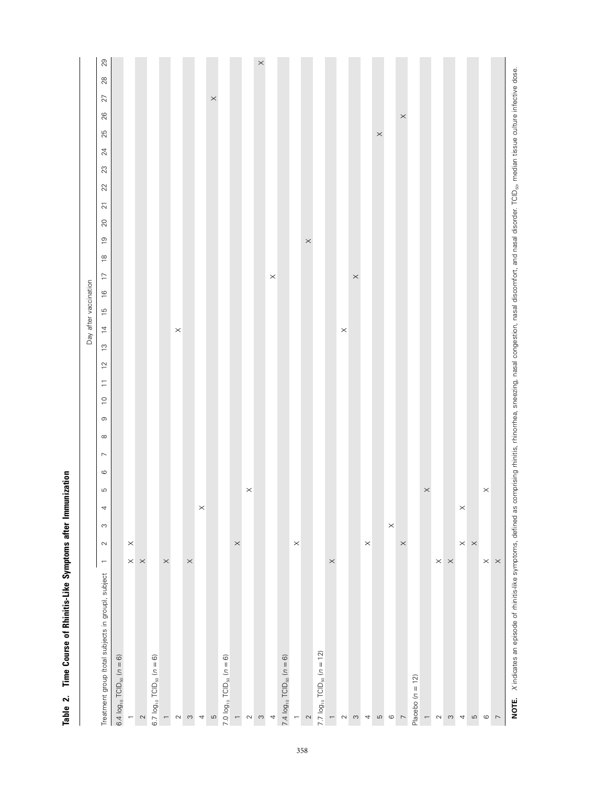|                                                    |                          |          |          |                       |         |                  |          |             |                |                               |                |                  |                | Day after vaccination |                                 |                       |                |      |                  |        |        |        |          |          |          |            |
|----------------------------------------------------|--------------------------|----------|----------|-----------------------|---------|------------------|----------|-------------|----------------|-------------------------------|----------------|------------------|----------------|-----------------------|---------------------------------|-----------------------|----------------|------|------------------|--------|--------|--------|----------|----------|----------|------------|
| Treatment group (total subjects in group), subject | $\sim$<br>$\overline{a}$ | $\infty$ | 4        | LO.                   | $\circ$ | $\triangleright$ | $\infty$ | $\mathbb O$ | $\overline{C}$ | $\overleftarrow{\phantom{a}}$ | $\overline{c}$ | $\tilde{\omega}$ | $\overline{4}$ | $\frac{51}{1}$        | $\overline{1}$<br>$\frac{6}{1}$ | $\overset{\infty}{=}$ | $\overline{0}$ | $20$ | $\overline{2}$ 1 | $22\,$ | $23\,$ | $24\,$ | 25       | 26       | 27       | 29<br>$28$ |
| 6.4 $log_{10}$ TCID <sub>50</sub> ( $n = 6$ )      |                          |          |          |                       |         |                  |          |             |                |                               |                |                  |                |                       |                                 |                       |                |      |                  |        |        |        |          |          |          |            |
| $\leftarrow$                                       | $\times$<br>$\times$     |          |          |                       |         |                  |          |             |                |                               |                |                  |                |                       |                                 |                       |                |      |                  |        |        |        |          |          |          |            |
| $\sim$                                             | $\times$                 |          |          |                       |         |                  |          |             |                |                               |                |                  |                |                       |                                 |                       |                |      |                  |        |        |        |          |          |          |            |
| 6.7 $log_{10}$ TCID <sub>50</sub> $(n = 6)$        |                          |          |          |                       |         |                  |          |             |                |                               |                |                  |                |                       |                                 |                       |                |      |                  |        |        |        |          |          |          |            |
| $\leftarrow$                                       | $\times$                 |          |          |                       |         |                  |          |             |                |                               |                |                  |                |                       |                                 |                       |                |      |                  |        |        |        |          |          |          |            |
| $\sim$                                             |                          |          |          |                       |         |                  |          |             |                |                               |                |                  | $\times$       |                       |                                 |                       |                |      |                  |        |        |        |          |          |          |            |
| $\infty$                                           | $\times$                 |          |          |                       |         |                  |          |             |                |                               |                |                  |                |                       |                                 |                       |                |      |                  |        |        |        |          |          |          |            |
| $\boldsymbol{4}$                                   |                          |          | $\times$ |                       |         |                  |          |             |                |                               |                |                  |                |                       |                                 |                       |                |      |                  |        |        |        |          |          |          |            |
| $\overline{c}$                                     |                          |          |          |                       |         |                  |          |             |                |                               |                |                  |                |                       |                                 |                       |                |      |                  |        |        |        |          |          | $\times$ |            |
| 7.0 $log_{10}$ TCID <sub>50</sub> $(n = 6)$        |                          |          |          |                       |         |                  |          |             |                |                               |                |                  |                |                       |                                 |                       |                |      |                  |        |        |        |          |          |          |            |
| $\overline{\phantom{0}}$                           | $\times$                 |          |          |                       |         |                  |          |             |                |                               |                |                  |                |                       |                                 |                       |                |      |                  |        |        |        |          |          |          |            |
| $\sim$                                             |                          |          |          | $\times$              |         |                  |          |             |                |                               |                |                  |                |                       |                                 |                       |                |      |                  |        |        |        |          |          |          |            |
| $\infty$                                           |                          |          |          |                       |         |                  |          |             |                |                               |                |                  |                |                       |                                 |                       |                |      |                  |        |        |        |          |          |          | $\times$   |
| 4                                                  |                          |          |          |                       |         |                  |          |             |                |                               |                |                  |                |                       | $\boldsymbol{\times}$           |                       |                |      |                  |        |        |        |          |          |          |            |
| 7.4 $log_{10}$ TCID <sub>50</sub> $(n = 6)$        |                          |          |          |                       |         |                  |          |             |                |                               |                |                  |                |                       |                                 |                       |                |      |                  |        |        |        |          |          |          |            |
| $\overline{\phantom{0}}$                           | $\times$                 |          |          |                       |         |                  |          |             |                |                               |                |                  |                |                       |                                 |                       |                |      |                  |        |        |        |          |          |          |            |
| $\sim$                                             |                          |          |          |                       |         |                  |          |             |                |                               |                |                  |                |                       |                                 |                       | $\times$       |      |                  |        |        |        |          |          |          |            |
| 7.7 $log_{10}$ TCID <sub>50</sub> $(n = 12)$       |                          |          |          |                       |         |                  |          |             |                |                               |                |                  |                |                       |                                 |                       |                |      |                  |        |        |        |          |          |          |            |
| $\overline{\phantom{0}}$                           | $\times$                 |          |          |                       |         |                  |          |             |                |                               |                |                  |                |                       |                                 |                       |                |      |                  |        |        |        |          |          |          |            |
| $\sim$                                             |                          |          |          |                       |         |                  |          |             |                |                               |                |                  | $\times$       |                       |                                 |                       |                |      |                  |        |        |        |          |          |          |            |
| $\infty$                                           |                          |          |          |                       |         |                  |          |             |                |                               |                |                  |                |                       | $\times$                        |                       |                |      |                  |        |        |        |          |          |          |            |
| $\overline{\phantom{a}}$                           | $\times$                 |          |          |                       |         |                  |          |             |                |                               |                |                  |                |                       |                                 |                       |                |      |                  |        |        |        |          |          |          |            |
| $\mathfrak{S}$                                     |                          |          |          |                       |         |                  |          |             |                |                               |                |                  |                |                       |                                 |                       |                |      |                  |        |        |        | $\times$ |          |          |            |
| $\circ$                                            |                          | $\times$ |          |                       |         |                  |          |             |                |                               |                |                  |                |                       |                                 |                       |                |      |                  |        |        |        |          |          |          |            |
| $\overline{\phantom{0}}$                           | $\times$                 |          |          |                       |         |                  |          |             |                |                               |                |                  |                |                       |                                 |                       |                |      |                  |        |        |        |          | $\times$ |          |            |
| Placebo $(n = 12)$                                 |                          |          |          |                       |         |                  |          |             |                |                               |                |                  |                |                       |                                 |                       |                |      |                  |        |        |        |          |          |          |            |
| $\overline{\phantom{0}}$                           |                          |          |          | $\times$              |         |                  |          |             |                |                               |                |                  |                |                       |                                 |                       |                |      |                  |        |        |        |          |          |          |            |
| $\sim$                                             | $\times~\times$          |          |          |                       |         |                  |          |             |                |                               |                |                  |                |                       |                                 |                       |                |      |                  |        |        |        |          |          |          |            |
| $\infty$                                           |                          |          |          |                       |         |                  |          |             |                |                               |                |                  |                |                       |                                 |                       |                |      |                  |        |        |        |          |          |          |            |
| $\boldsymbol{4}$                                   | $\times$ $\times$        |          | $\times$ |                       |         |                  |          |             |                |                               |                |                  |                |                       |                                 |                       |                |      |                  |        |        |        |          |          |          |            |
| $\mathfrak{g}$                                     |                          |          |          |                       |         |                  |          |             |                |                               |                |                  |                |                       |                                 |                       |                |      |                  |        |        |        |          |          |          |            |
| $\circ$                                            | $\times$                 |          |          | $\boldsymbol{\times}$ |         |                  |          |             |                |                               |                |                  |                |                       |                                 |                       |                |      |                  |        |        |        |          |          |          |            |
| $\overline{\phantom{0}}$                           | $\times$                 |          |          |                       |         |                  |          |             |                |                               |                |                  |                |                       |                                 |                       |                |      |                  |        |        |        |          |          |          |            |
|                                                    |                          |          |          |                       |         |                  |          |             |                |                               |                |                  |                |                       |                                 |                       |                |      |                  |        |        |        |          |          |          |            |

Table 2. Time Course of Rhinitis-Like Symptoms after Immunization **Table 2. Time Course of Rhinitis-Like Symptoms after Immunization**

NOTE. Xindicates an episode of rhinitis-like symptoms, defined as comprising rhinitis, rhinorrhea, sneezing, nasal congestion, nasal discomfort, and nasal disorder. TCID<sub>so</sub>, median tissue culture infective dose. NOTE. Xindicates an episode of rhinitis-like symptoms, defined as comprising rhinitis, rhinorrhea, sneezing, nasal discomfort, and disconder. TCID<sub>eto</sub> median tissue culture infective dose.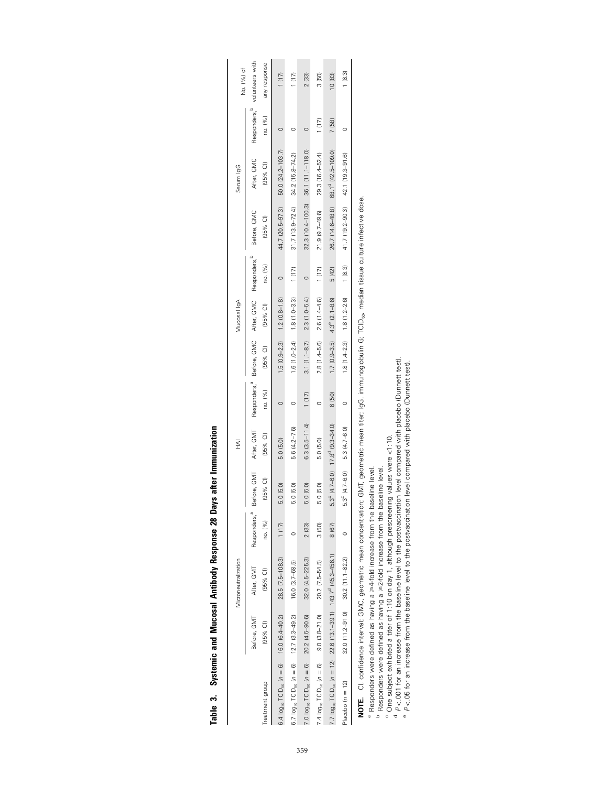|                                                                                             |                         | Microneutralization                 |                                     |                         | Ξ                                                 |                                     |                         | Mucosal IgA                           |                                     |                           | Serum lgG                           |                                     | No. (%) of                      |
|---------------------------------------------------------------------------------------------|-------------------------|-------------------------------------|-------------------------------------|-------------------------|---------------------------------------------------|-------------------------------------|-------------------------|---------------------------------------|-------------------------------------|---------------------------|-------------------------------------|-------------------------------------|---------------------------------|
| Treatment group                                                                             | Before, GMT<br>(95% CI) | After, GMT<br>(95% CI)              | Responders, <sup>a</sup><br>no. (%) | Before, GMT<br>(95% CI) | After, GMT<br>(95% CI)                            | Responders, <sup>a</sup><br>no. (%) | Before, GMC<br>(95% CI) | After, GMC<br>$(95%$ CI)              | Responders, <sup>p</sup><br>no. (%) | Before, GMC<br>$(95%$ CI) | After, GMC<br>$(95%$ CI)            | Responders, <sup>p</sup><br>no. (%) | volunteers with<br>any response |
| $6.4 \log_{10}$ TCID <sub>50</sub> ( $n = 6$ ) 16.0 (6.4–40.2)                              |                         | 28.5 (7.5-108.3)                    | 1(17)                               | 5.0 (5.0)               | 5.0 (5.0)                                         |                                     |                         | $1.5(0.9-2.3)$ $1.2(0.8-1.8)$         | $\circ$                             | 44.7 (20.5-97.3)          | 50.0 (24.2-103.7)                   |                                     | (17)                            |
| $6.7 log_{10} TClD_{50}$ ( $n = 6$ ) $12.7$ (3.3-49.2)                                      |                         | $16.0 (3.7 - 68.5)$                 |                                     | 5.0 (5.0)               | 5.6 (4.2-7.6)                                     |                                     | $1.6(1.0-2.4)$          | $1.8(1.0 - 3.3)$                      | (1(17)                              | $31.7(13.9 - 72.4)$       | 34.2 (15.8-74.2)                    |                                     | (17)                            |
| 7.0 $log_{10}$ TCID <sub>50</sub> ( $n = 6$ ) 20.2 (4.5-90.6)                               |                         | $32.0(4.5 - 225.3)$                 | 2(33)                               | 5.0 (5.0)               | $6.3(3.5 - 11.4)$                                 | 1(17)                               |                         | $3.1(1.1-8.7)$ $2.3(1.0-5.4)$         | $\circ$                             |                           | 32.3 (10.4-100.3) 36.1 (11.1-118.0) |                                     | 2(33)                           |
| 7.4 $log_{10}$ TCID <sub>50</sub> ( $n = 6$ )                                               | $9.0(3.8-21.0)$         | 20.2 (7.5-54.5)                     | 3(50)                               | 5.0 (5.0)               | 5.0 (5.0)                                         |                                     | $2.8(1.4 - 5.6)$        | $2.6(1.4 - 4.6)$                      | (117)                               | 21.9 (9.7-49.6)           | 29.3 (16.4-52.4)                    | (17)                                | 3(50)                           |
| 7.7 $log_{10}$ TCID <sub>90</sub> (n = 12) 22.6 (13.1-39.1) 143.7 <sup>0</sup> (45.3-456.1) |                         |                                     | 8 (67)                              |                         | $5.3^{\circ}$ (4.7-6.0) $17.8^{\circ}$ (9.3-34.0) | 6 (50)                              |                         | $1.7(0.9-3.5)$ $4.3^{\circ}(2.1-8.6)$ | 5 (42)                              | 26.7 (14.6-48.8)          | 68.1 <sup>d</sup> (42.5-109.0)      | 7 (58)                              | 10 (83)                         |
| Placebo ( $n = 12$ )                                                                        |                         | $32.0(11.2-91.0)$ $30.2(11.1-82.2)$ |                                     | $5.3^{\circ}$ (4.7-6.0) | 5.3 (4.7-6.0)                                     |                                     |                         | $1.8(1.4-2.3)$ $1.8(1.2-2.6)$         | 1(8.3)                              | 41.7 (19.2-90.3)          | 42.1 (19.3-91.6)                    |                                     | (8.3)                           |
|                                                                                             |                         |                                     |                                     |                         |                                                   |                                     |                         |                                       |                                     |                           |                                     |                                     |                                 |

| <b>The Security Contract of the Second Contract of the Second Contract of the Second Contract of the Second Contract of the Second Contract of the Second Contract of the Second Contract of the Second Contract of the Second C</b> |
|--------------------------------------------------------------------------------------------------------------------------------------------------------------------------------------------------------------------------------------|
| atter l                                                                                                                                                                                                                              |
| i<br>Siri<br>Ğ                                                                                                                                                                                                                       |
| cocmone                                                                                                                                                                                                                              |
|                                                                                                                                                                                                                                      |
| <b>Vitiboa</b>                                                                                                                                                                                                                       |
| and Mucosa                                                                                                                                                                                                                           |
|                                                                                                                                                                                                                                      |
| iustemic                                                                                                                                                                                                                             |
| ֠֩֩֩֩֩֩֩<br>Table                                                                                                                                                                                                                    |

NOTE. Cl, confidence interval; GMC, geometric mean concentration; GMT, geometric mean titer; IgG, immunoglobulin G; TCID<sub>50</sub>, median tissue culture infective dose. **NOTE.** CI, confidence interval; GMC, geometric mean concentration; GMT, geometric mean titer; IgG, immunoglobulin G; TCID<sub>59</sub>, median tissue culture infective dose.

<sup>e</sup> Responders were defined as having a ≥ 4-fold increase from the baseline level.

 $P$  Responders were defined as having a  $\geq$ 2-fold increase from the baseline level.

abcde $\degree$  One subject exhibited a titer of 1:10 on day 1, although prescreening values were  $\lt1:10$ .

for an increase from the baseline level to the postvaccination level compared with placebo (Dunnett test). *P<* .001 for a

for an increase from the baseline level to the postvaccination level compared with placebo (Dunnett test). **P**  $\leq$  05 for an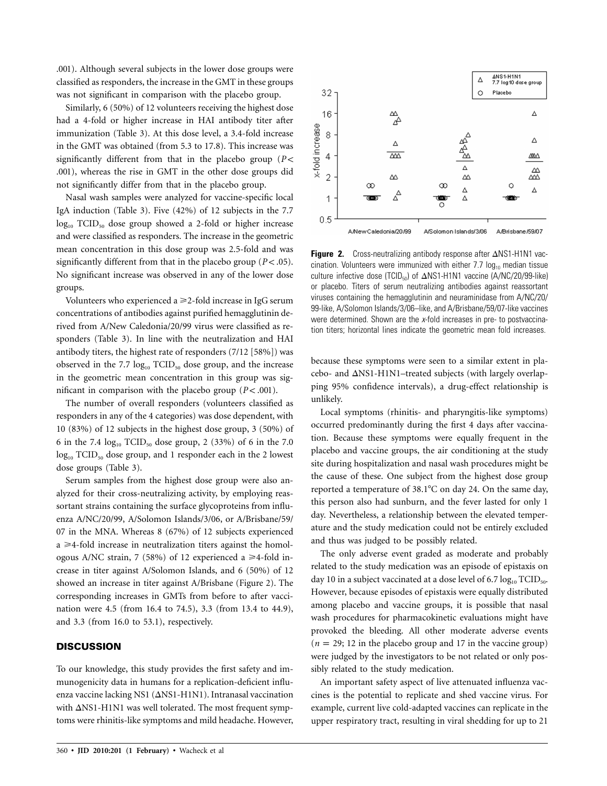.001). Although several subjects in the lower dose groups were classified as responders, the increase in the GMT in these groups was not significant in comparison with the placebo group.

Similarly, 6 (50%) of 12 volunteers receiving the highest dose had a 4-fold or higher increase in HAI antibody titer after immunization (Table 3). At this dose level, a 3.4-fold increase in the GMT was obtained (from 5.3 to 17.8). This increase was significantly different from that in the placebo group  $(P <$ .001), whereas the rise in GMT in the other dose groups did not significantly differ from that in the placebo group.

Nasal wash samples were analyzed for vaccine-specific local IgA induction (Table 3). Five (42%) of 12 subjects in the 7.7 log<sub>10</sub> TCID<sub>50</sub> dose group showed a 2-fold or higher increase and were classified as responders. The increase in the geometric mean concentration in this dose group was 2.5-fold and was significantly different from that in the placebo group  $(P < .05)$ . No significant increase was observed in any of the lower dose groups.

Volunteers who experienced a  $\geq$  2-fold increase in IgG serum concentrations of antibodies against purified hemagglutinin derived from A/New Caledonia/20/99 virus were classified as responders (Table 3). In line with the neutralization and HAI antibody titers, the highest rate of responders (7/12 [58%]) was observed in the 7.7  $log_{10}$  TCID<sub>50</sub> dose group, and the increase in the geometric mean concentration in this group was significant in comparison with the placebo group  $(P < .001)$ .

The number of overall responders (volunteers classified as responders in any of the 4 categories) was dose dependent, with 10 (83%) of 12 subjects in the highest dose group, 3 (50%) of 6 in the 7.4  $log_{10}$  TCID<sub>50</sub> dose group, 2 (33%) of 6 in the 7.0 log<sub>10</sub> TCID<sub>50</sub> dose group, and 1 responder each in the 2 lowest dose groups (Table 3).

Serum samples from the highest dose group were also analyzed for their cross-neutralizing activity, by employing reassortant strains containing the surface glycoproteins from influenza A/NC/20/99, A/Solomon Islands/3/06, or A/Brisbane/59/ 07 in the MNA. Whereas 8 (67%) of 12 subjects experienced  $a \geq 4$ -fold increase in neutralization titers against the homologous A/NC strain, 7 (58%) of 12 experienced a  $\geq 4$ -fold increase in titer against A/Solomon Islands, and 6 (50%) of 12 showed an increase in titer against A/Brisbane (Figure 2). The corresponding increases in GMTs from before to after vaccination were 4.5 (from 16.4 to 74.5), 3.3 (from 13.4 to 44.9), and 3.3 (from 16.0 to 53.1), respectively.

## **DISCUSSION**

To our knowledge, this study provides the first safety and immunogenicity data in humans for a replication-deficient influenza vaccine lacking NS1 ( $\Delta$ NS1-H1N1). Intranasal vaccination with  $\Delta$ NS1-H1N1 was well tolerated. The most frequent symptoms were rhinitis-like symptoms and mild headache. However,



**Figure 2.** Cross-neutralizing antibody response after  $\triangle$ NS1-H1N1 vaccination. Volunteers were immunized with either 7.7  $log_{10}$  median tissue culture infective dose (TCID<sub>50</sub>) of  $\Delta$ NS1-H1N1 vaccine (A/NC/20/99-like) or placebo. Titers of serum neutralizing antibodies against reassortant viruses containing the hemagglutinin and neuraminidase from A/NC/20/ 99-like, A/Solomon Islands/3/06–like, and A/Brisbane/59/07-like vaccines were determined. Shown are the *x*-fold increases in pre- to postvaccination titers; horizontal lines indicate the geometric mean fold increases.

because these symptoms were seen to a similar extent in pla $cebo-$  and  $\Delta$ NS1-H1N1–treated subjects (with largely overlapping 95% confidence intervals), a drug-effect relationship is unlikely.

Local symptoms (rhinitis- and pharyngitis-like symptoms) occurred predominantly during the first 4 days after vaccination. Because these symptoms were equally frequent in the placebo and vaccine groups, the air conditioning at the study site during hospitalization and nasal wash procedures might be the cause of these. One subject from the highest dose group reported a temperature of  $38.1^{\circ}$ C on day 24. On the same day, this person also had sunburn, and the fever lasted for only 1 day. Nevertheless, a relationship between the elevated temperature and the study medication could not be entirely excluded and thus was judged to be possibly related.

The only adverse event graded as moderate and probably related to the study medication was an episode of epistaxis on day 10 in a subject vaccinated at a dose level of 6.7  $log_{10} TCID_{50}$ . However, because episodes of epistaxis were equally distributed among placebo and vaccine groups, it is possible that nasal wash procedures for pharmacokinetic evaluations might have provoked the bleeding. All other moderate adverse events  $(n = 29; 12$  in the placebo group and 17 in the vaccine group) were judged by the investigators to be not related or only possibly related to the study medication.

An important safety aspect of live attenuated influenza vaccines is the potential to replicate and shed vaccine virus. For example, current live cold-adapted vaccines can replicate in the upper respiratory tract, resulting in viral shedding for up to 21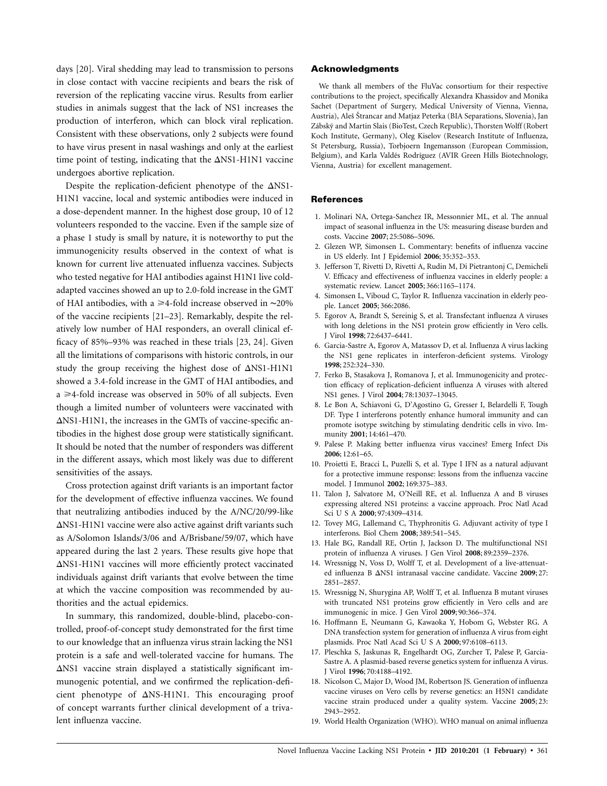days [20]. Viral shedding may lead to transmission to persons in close contact with vaccine recipients and bears the risk of reversion of the replicating vaccine virus. Results from earlier studies in animals suggest that the lack of NS1 increases the production of interferon, which can block viral replication. Consistent with these observations, only 2 subjects were found to have virus present in nasal washings and only at the earliest time point of testing, indicating that the  $\Delta$ NS1-H1N1 vaccine undergoes abortive replication.

Despite the replication-deficient phenotype of the  $\Delta$ NS1-H1N1 vaccine, local and systemic antibodies were induced in a dose-dependent manner. In the highest dose group, 10 of 12 volunteers responded to the vaccine. Even if the sample size of a phase 1 study is small by nature, it is noteworthy to put the immunogenicity results observed in the context of what is known for current live attenuated influenza vaccines. Subjects who tested negative for HAI antibodies against H1N1 live coldadapted vaccines showed an up to 2.0-fold increase in the GMT of HAI antibodies, with a ≥4-fold increase observed in ~20% of the vaccine recipients [21–23]. Remarkably, despite the relatively low number of HAI responders, an overall clinical efficacy of 85%–93% was reached in these trials [23, 24]. Given all the limitations of comparisons with historic controls, in our study the group receiving the highest dose of  $\Delta$ NS1-H1N1 showed a 3.4-fold increase in the GMT of HAI antibodies, and a ≥4-fold increase was observed in 50% of all subjects. Even though a limited number of volunteers were vaccinated with  $\Delta$ NS1-H1N1, the increases in the GMTs of vaccine-specific antibodies in the highest dose group were statistically significant. It should be noted that the number of responders was different in the different assays, which most likely was due to different sensitivities of the assays.

Cross protection against drift variants is an important factor for the development of effective influenza vaccines. We found that neutralizing antibodies induced by the A/NC/20/99-like  $\Delta$ NS1-H1N1 vaccine were also active against drift variants such as A/Solomon Islands/3/06 and A/Brisbane/59/07, which have appeared during the last 2 years. These results give hope that  $\Delta$ NS1-H1N1 vaccines will more efficiently protect vaccinated individuals against drift variants that evolve between the time at which the vaccine composition was recommended by authorities and the actual epidemics.

In summary, this randomized, double-blind, placebo-controlled, proof-of-concept study demonstrated for the first time to our knowledge that an influenza virus strain lacking the NS1 protein is a safe and well-tolerated vaccine for humans. The  $\Delta$ NS1 vaccine strain displayed a statistically significant immunogenic potential, and we confirmed the replication-deficient phenotype of  $\Delta$ NS-H1N1. This encouraging proof of concept warrants further clinical development of a trivalent influenza vaccine.

#### **Acknowledgments**

We thank all members of the FluVac consortium for their respective contributions to the project, specifically Alexandra Khassidov and Monika Sachet (Department of Surgery, Medical University of Vienna, Vienna, Austria), Aleš Štrancar and Matjaz Peterka (BIA Separations, Slovenia), Jan Zábský and Martin Slais (BioTest, Czech Republic), Thorsten Wolff (Robert Koch Institute, Germany), Oleg Kiselov (Research Institute of Influenza, St Petersburg, Russia), Torbjoern Ingemansson (European Commission, Belgium), and Karla Valdés Rodríguez (AVIR Green Hills Biotechnology, Vienna, Austria) for excellent management.

#### **References**

- 1. Molinari NA, Ortega-Sanchez IR, Messonnier ML, et al. The annual impact of seasonal influenza in the US: measuring disease burden and costs. Vaccine **2007**; 25:5086–5096.
- 2. Glezen WP, Simonsen L. Commentary: benefits of influenza vaccine in US elderly. Int J Epidemiol **2006**; 35:352–353.
- 3. Jefferson T, Rivetti D, Rivetti A, Rudin M, Di Pietrantonj C, Demicheli V. Efficacy and effectiveness of influenza vaccines in elderly people: a systematic review. Lancet **2005**; 366:1165–1174.
- 4. Simonsen L, Viboud C, Taylor R. Influenza vaccination in elderly people. Lancet **2005**; 366:2086.
- 5. Egorov A, Brandt S, Sereinig S, et al. Transfectant influenza A viruses with long deletions in the NS1 protein grow efficiently in Vero cells. J Virol **1998**; 72:6437–6441.
- 6. Garcia-Sastre A, Egorov A, Matassov D, et al. Influenza A virus lacking the NS1 gene replicates in interferon-deficient systems. Virology **1998**; 252:324–330.
- 7. Ferko B, Stasakova J, Romanova J, et al. Immunogenicity and protection efficacy of replication-deficient influenza A viruses with altered NS1 genes. J Virol **2004**; 78:13037–13045.
- 8. Le Bon A, Schiavoni G, D'Agostino G, Gresser I, Belardelli F, Tough DF. Type I interferons potently enhance humoral immunity and can promote isotype switching by stimulating dendritic cells in vivo. Immunity **2001**; 14:461–470.
- 9. Palese P. Making better influenza virus vaccines? Emerg Infect Dis **2006**; 12:61–65.
- 10. Proietti E, Bracci L, Puzelli S, et al. Type I IFN as a natural adjuvant for a protective immune response: lessons from the influenza vaccine model. J Immunol **2002**; 169:375–383.
- 11. Talon J, Salvatore M, O'Neill RE, et al. Influenza A and B viruses expressing altered NS1 proteins: a vaccine approach. Proc Natl Acad Sci U S A **2000**; 97:4309–4314.
- 12. Tovey MG, Lallemand C, Thyphronitis G. Adjuvant activity of type I interferons. Biol Chem **2008**; 389:541–545.
- 13. Hale BG, Randall RE, Ortin J, Jackson D. The multifunctional NS1 protein of influenza A viruses. J Gen Virol **2008**; 89:2359–2376.
- 14. Wressnigg N, Voss D, Wolff T, et al. Development of a live-attenuated influenza Β ΔNS1 intranasal vaccine candidate. Vaccine 2009; 27: 2851–2857.
- 15. Wressnigg N, Shurygina AP, Wolff T, et al. Influenza B mutant viruses with truncated NS1 proteins grow efficiently in Vero cells and are immunogenic in mice. J Gen Virol **2009**; 90:366–374.
- 16. Hoffmann E, Neumann G, Kawaoka Y, Hobom G, Webster RG. A DNA transfection system for generation of influenza A virus from eight plasmids. Proc Natl Acad Sci U S A **2000**; 97:6108–6113.
- 17. Pleschka S, Jaskunas R, Engelhardt OG, Zurcher T, Palese P, Garcia-Sastre A. A plasmid-based reverse genetics system for influenza A virus. J Virol **1996**; 70:4188–4192.
- 18. Nicolson C, Major D, Wood JM, Robertson JS. Generation of influenza vaccine viruses on Vero cells by reverse genetics: an H5N1 candidate vaccine strain produced under a quality system. Vaccine **2005**; 23: 2943–2952.
- 19. World Health Organization (WHO). WHO manual on animal influenza